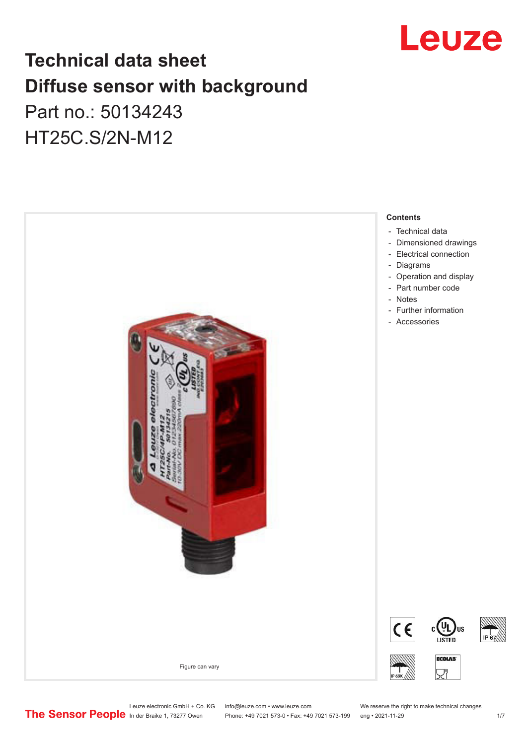

## **Technical data sheet Diffuse sensor with background**  Part no.: 50134243

HT25C.S/2N-M12



Leuze electronic GmbH + Co. KG info@leuze.com • www.leuze.com We reserve the right to make technical changes<br>
The Sensor People in der Braike 1, 73277 Owen Phone: +49 7021 573-0 • Fax: +49 7021 573-199 eng • 2021-11-29

Phone: +49 7021 573-0 • Fax: +49 7021 573-199 eng • 2021-11-29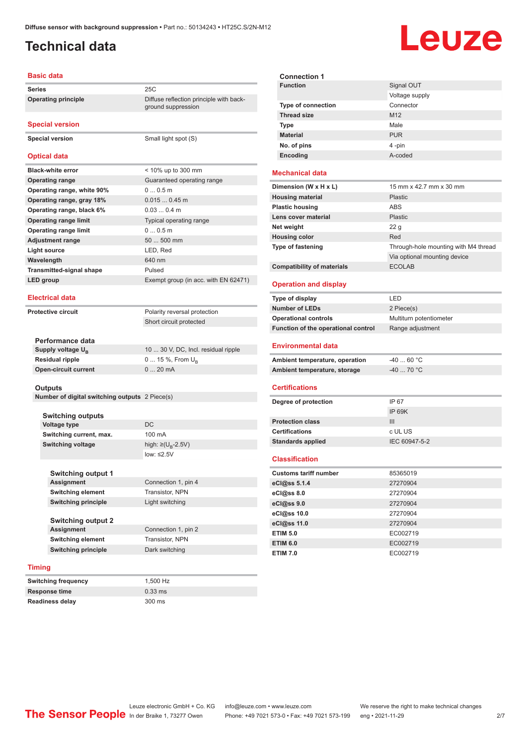### <span id="page-1-0"></span>**Technical data**

# Leuze

### **Basic data**

| Series                          | 25C                                                           |
|---------------------------------|---------------------------------------------------------------|
| <b>Operating principle</b>      | Diffuse reflection principle with back-<br>ground suppression |
| <b>Special version</b>          |                                                               |
| <b>Special version</b>          | Small light spot (S)                                          |
| <b>Optical data</b>             |                                                               |
| <b>Black-white error</b>        | < 10% up to 300 mm                                            |
| <b>Operating range</b>          | Guaranteed operating range                                    |
| Operating range, white 90%      | 00.5m                                                         |
| Operating range, gray 18%       | $0.0150.45$ m                                                 |
| Operating range, black 6%       | $0.030.4$ m                                                   |
| <b>Operating range limit</b>    | Typical operating range                                       |
| <b>Operating range limit</b>    | 00.5m                                                         |
| <b>Adjustment range</b>         | 50  500 mm                                                    |
| Light source                    | LED, Red                                                      |
| Wavelength                      | 640 nm                                                        |
| <b>Transmitted-signal shape</b> | Pulsed                                                        |
| <b>LED</b> group                | Exempt group (in acc. with EN 62471)                          |
|                                 |                                                               |

### **Electrical data**

**Protective circuit** Polarity reversal protection Short circuit protected

| Performance data              |                                     |
|-------------------------------|-------------------------------------|
| Supply voltage U <sub>n</sub> | 10  30 V, DC, Incl. residual ripple |
| Residual ripple               | $0 15 \%$ , From $U_{p}$            |
| Open-circuit current          | $020$ mA                            |
|                               |                                     |

#### **Outputs**

**Number of digital switching outputs** 2 Piece(s)

**Switching outputs Voltage type** DC **Switching current, max.** 100 mA **Switching voltage** 

high:  $\geq$ (U<sub>p</sub>-2.5V) low: ≤2.5V

| <b>Switching output 1</b>  |                     |
|----------------------------|---------------------|
| <b>Assignment</b>          | Connection 1, pin 4 |
| <b>Switching element</b>   | Transistor, NPN     |
| <b>Switching principle</b> | Light switching     |
|                            |                     |
| <b>Switching output 2</b>  |                     |
| <b>Assignment</b>          | Connection 1, pin 2 |
| <b>Switching element</b>   | Transistor, NPN     |

**Switching principle** Dark switching

#### **Timing**

| <b>Switching frequency</b> | 1.500 Hz  |
|----------------------------|-----------|
| Response time              | $0.33$ ms |
| <b>Readiness delay</b>     | 300 ms    |

| <b>Connection 1</b> |  |
|---------------------|--|
| Signal OUT          |  |
| Voltage supply      |  |
| Connector           |  |
| M <sub>12</sub>     |  |
| Male                |  |
| <b>PUR</b>          |  |
| 4-pin               |  |
| A-coded             |  |
|                     |  |

### **Mechanical data**

| Dimension (W x H x L)             | 15 mm x 42.7 mm x 30 mm              |
|-----------------------------------|--------------------------------------|
| <b>Housing material</b>           | <b>Plastic</b>                       |
| <b>Plastic housing</b>            | <b>ABS</b>                           |
| Lens cover material               | <b>Plastic</b>                       |
| Net weight                        | 22q                                  |
| <b>Housing color</b>              | Red                                  |
| Type of fastening                 | Through-hole mounting with M4 thread |
|                                   | Via optional mounting device         |
| <b>Compatibility of materials</b> | <b>ECOLAB</b>                        |

### **Operation and display**

| Type of display                     | I FD                    |
|-------------------------------------|-------------------------|
| <b>Number of LEDs</b>               | 2 Piece(s)              |
| <b>Operational controls</b>         | Multiturn potentiometer |
| Function of the operational control | Range adjustment        |
| <b>Environmental data</b>           |                         |

| Ambient temperature, operation | -40  60 °C |
|--------------------------------|------------|
| Ambient temperature, storage   | -40  70 °C |

#### **Certifications**

| Degree of protection     | IP 67         |
|--------------------------|---------------|
|                          | IP 69K        |
| <b>Protection class</b>  | Ш             |
| <b>Certifications</b>    | c UL US       |
| <b>Standards applied</b> | IEC 60947-5-2 |
|                          |               |

#### **Classification**

| <b>Customs tariff number</b> | 85365019 |
|------------------------------|----------|
| eCl@ss 5.1.4                 | 27270904 |
| eCl@ss 8.0                   | 27270904 |
| eCl@ss 9.0                   | 27270904 |
| eCl@ss 10.0                  | 27270904 |
| eCl@ss 11.0                  | 27270904 |
| <b>ETIM 5.0</b>              | EC002719 |
| <b>ETIM 6.0</b>              | EC002719 |
| <b>ETIM 7.0</b>              | EC002719 |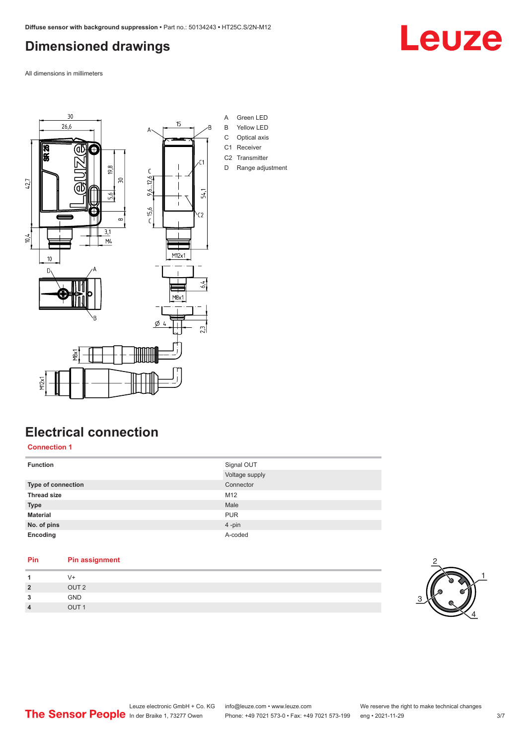## <span id="page-2-0"></span>**Dimensioned drawings**

All dimensions in millimeters



## **Electrical connection**

**Connection 1**

| <b>Function</b>    | Signal OUT     |
|--------------------|----------------|
|                    | Voltage supply |
| Type of connection | Connector      |
| <b>Thread size</b> | M12            |
| <b>Type</b>        | Male           |
| <b>Material</b>    | <b>PUR</b>     |
| No. of pins        | 4-pin          |
| Encoding           | A-coded        |
|                    |                |

### **Pin Pin assignment** 1 V+<br>2 OU **2** OUT 2





Leuze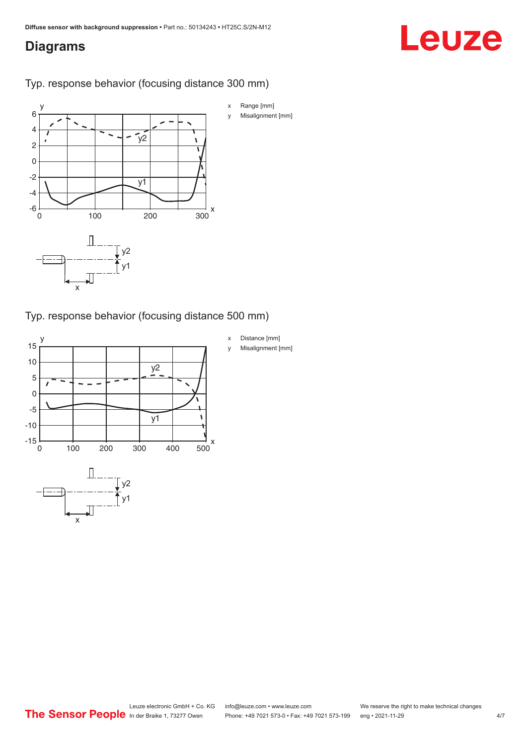### <span id="page-3-0"></span>**Diagrams**

# Leuze

Typ. response behavior (focusing distance 300 mm)



Typ. response behavior (focusing distance 500 mm)

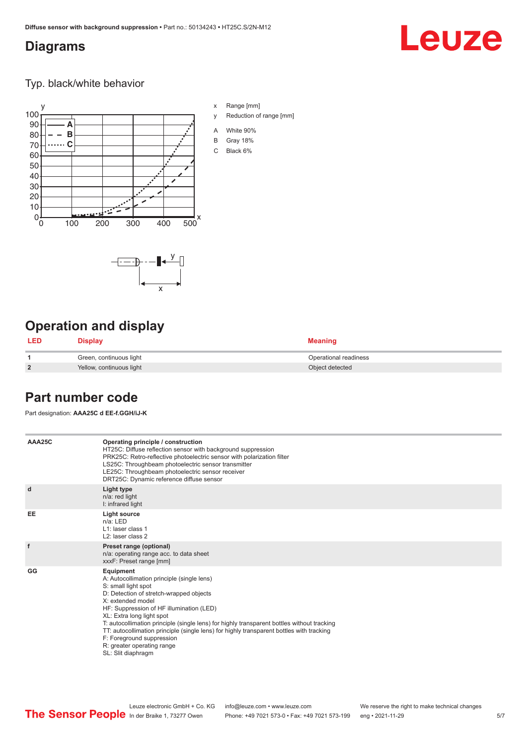### <span id="page-4-0"></span>**Diagrams**

## Leuze

Typ. black/white behavior



x

 $-\overline{...}$   $-\overline{...}$   $-\overline{...}$ 

x Range [mm]

- y Reduction of range [mm]
- A White 90%
- B Gray 18%
- C Black 6%



| LED            | <b>Display</b>           | <b>Meaning</b>        |
|----------------|--------------------------|-----------------------|
|                | Green, continuous light  | Operational readiness |
| $\overline{2}$ | Yellow, continuous light | Object detected       |

### **Part number code**

Part designation: **AAA25C d EE-f.GGH/iJ-K**

| AAA25C | Operating principle / construction<br>HT25C: Diffuse reflection sensor with background suppression<br>PRK25C: Retro-reflective photoelectric sensor with polarization filter<br>LS25C: Throughbeam photoelectric sensor transmitter<br>LE25C: Throughbeam photoelectric sensor receiver<br>DRT25C: Dynamic reference diffuse sensor                                                                                                                                                                |
|--------|----------------------------------------------------------------------------------------------------------------------------------------------------------------------------------------------------------------------------------------------------------------------------------------------------------------------------------------------------------------------------------------------------------------------------------------------------------------------------------------------------|
| d      | Light type<br>n/a: red light<br>I: infrared light                                                                                                                                                                                                                                                                                                                                                                                                                                                  |
| EE     | <b>Light source</b><br>$n/a$ : LED<br>L1: laser class 1<br>L2: laser class 2                                                                                                                                                                                                                                                                                                                                                                                                                       |
| f      | Preset range (optional)<br>n/a: operating range acc. to data sheet<br>xxxF: Preset range [mm]                                                                                                                                                                                                                                                                                                                                                                                                      |
| GG     | Equipment<br>A: Autocollimation principle (single lens)<br>S: small light spot<br>D: Detection of stretch-wrapped objects<br>X: extended model<br>HF: Suppression of HF illumination (LED)<br>XL: Extra long light spot<br>T: autocollimation principle (single lens) for highly transparent bottles without tracking<br>TT: autocollimation principle (single lens) for highly transparent bottles with tracking<br>F: Foreground suppression<br>R: greater operating range<br>SL: Slit diaphragm |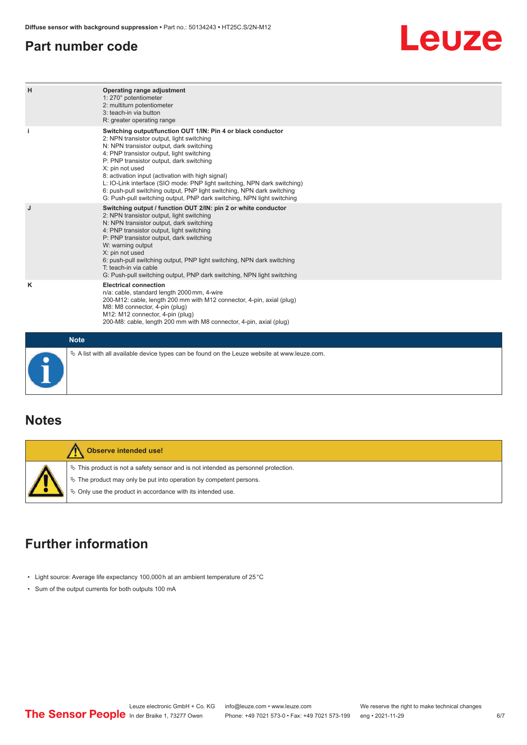### <span id="page-5-0"></span>**Part number code**

## Leuze

| H | Operating range adjustment<br>1: 270° potentiometer<br>2: multiturn potentiometer<br>3: teach-in via button<br>R: greater operating range                                                                                                                                                                                                                                                                                                                                                                                                              |  |  |  |  |  |
|---|--------------------------------------------------------------------------------------------------------------------------------------------------------------------------------------------------------------------------------------------------------------------------------------------------------------------------------------------------------------------------------------------------------------------------------------------------------------------------------------------------------------------------------------------------------|--|--|--|--|--|
|   | Switching output/function OUT 1/IN: Pin 4 or black conductor<br>2: NPN transistor output, light switching<br>N: NPN transistor output, dark switching<br>4: PNP transistor output, light switching<br>P: PNP transistor output, dark switching<br>X: pin not used<br>8: activation input (activation with high signal)<br>L: IO-Link interface (SIO mode: PNP light switching, NPN dark switching)<br>6: push-pull switching output, PNP light switching, NPN dark switching<br>G: Push-pull switching output, PNP dark switching, NPN light switching |  |  |  |  |  |
| J | Switching output / function OUT 2/IN: pin 2 or white conductor<br>2: NPN transistor output, light switching<br>N: NPN transistor output, dark switching<br>4: PNP transistor output, light switching<br>P: PNP transistor output, dark switching<br>W: warning output<br>X: pin not used<br>6: push-pull switching output, PNP light switching, NPN dark switching<br>T: teach-in via cable<br>G: Push-pull switching output, PNP dark switching, NPN light switching                                                                                  |  |  |  |  |  |
| κ | <b>Electrical connection</b><br>n/a: cable, standard length 2000 mm, 4-wire<br>200-M12: cable, length 200 mm with M12 connector, 4-pin, axial (plug)<br>M8: M8 connector, 4-pin (plug)<br>M12: M12 connector, 4-pin (plug)<br>200-M8: cable, length 200 mm with M8 connector, 4-pin, axial (plug)                                                                                                                                                                                                                                                      |  |  |  |  |  |
|   | <b>Note</b>                                                                                                                                                                                                                                                                                                                                                                                                                                                                                                                                            |  |  |  |  |  |
|   | $\&$ A list with all available device types can be found on the Leuze website at www.leuze.com.                                                                                                                                                                                                                                                                                                                                                                                                                                                        |  |  |  |  |  |

### **Notes**

| Observe intended use!                                                                                                                                                                                                                  |
|----------------------------------------------------------------------------------------------------------------------------------------------------------------------------------------------------------------------------------------|
| $\%$ This product is not a safety sensor and is not intended as personnel protection.<br>$\&$ The product may only be put into operation by competent persons.<br>$\Diamond$ Only use the product in accordance with its intended use. |

## **Further information**

- Light source: Average life expectancy 100,000 h at an ambient temperature of 25 °C
- Sum of the output currents for both outputs 100 mA